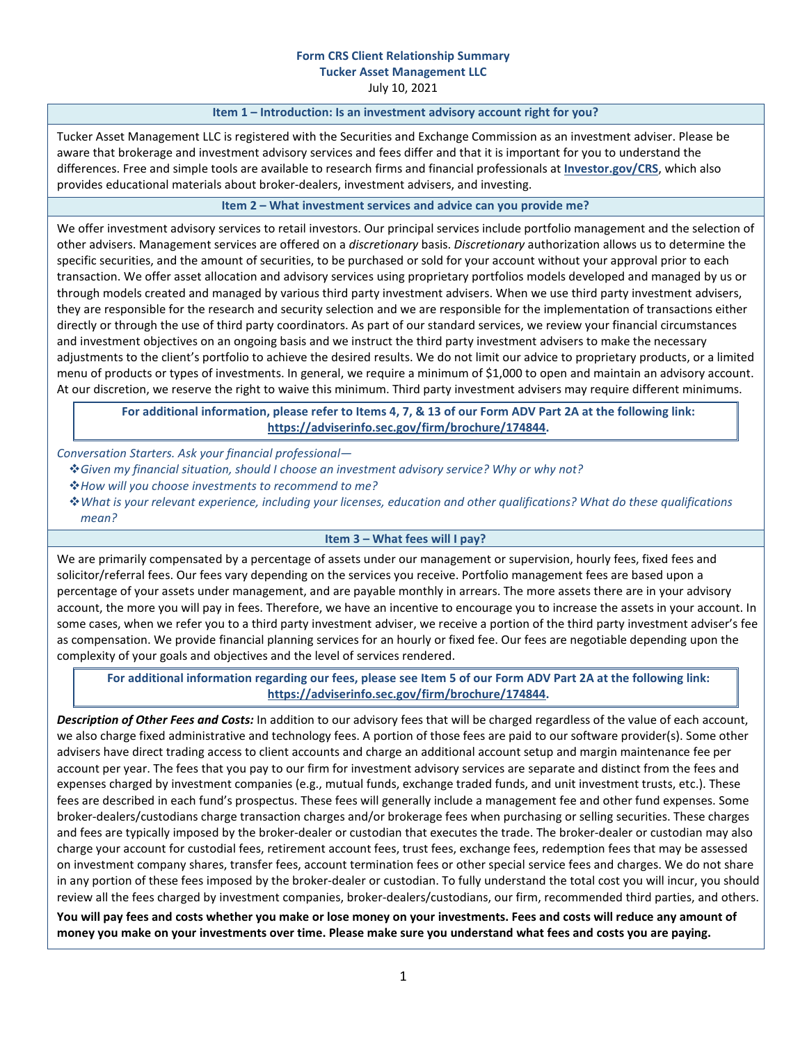# **Form CRS Client Relationship Summary Tucker Asset Management LLC**

July 10, 2021

#### **Item 1 – Introduction: Is an investment advisory account right for you?**

Tucker Asset Management LLC is registered with the Securities and Exchange Commission as an investment adviser. Please be aware that brokerage and investment advisory services and fees differ and that it is important for you to understand the differences. Free and simple tools are available to research firms and financial professionals at **[Investor.gov/CRS](https://www.investor.gov/CRS)**, which also provides educational materials about broker-dealers, investment advisers, and investing.

## **Item 2 – What investment services and advice can you provide me?**

We offer investment advisory services to retail investors. Our principal services include portfolio management and the selection of other advisers. Management services are offered on a *discretionary* basis. *Discretionary* authorization allows us to determine the specific securities, and the amount of securities, to be purchased or sold for your account without your approval prior to each transaction. We offer asset allocation and advisory services using proprietary portfolios models developed and managed by us or through models created and managed by various third party investment advisers. When we use third party investment advisers, they are responsible for the research and security selection and we are responsible for the implementation of transactions either directly or through the use of third party coordinators. As part of our standard services, we review your financial circumstances and investment objectives on an ongoing basis and we instruct the third party investment advisers to make the necessary adjustments to the client's portfolio to achieve the desired results. We do not limit our advice to proprietary products, or a limited menu of products or types of investments. In general, we require a minimum of \$1,000 to open and maintain an advisory account. At our discretion, we reserve the right to waive this minimum. Third party investment advisers may require different minimums.

**For additional information, please refer to Items 4, 7, & 13 of our Form ADV Part 2A at the following link: <https://adviserinfo.sec.gov/firm/brochure/174844>.**

*Conversation Starters. Ask your financial professional—* 

- *Given my financial situation, should I choose an investment advisory service? Why or why not?*
- *How will you choose investments to recommend to me?*
- *What is your relevant experience, including your licenses, education and other qualifications? What do these qualifications mean?*

## **Item 3 – What fees will I pay?**

We are primarily compensated by a percentage of assets under our management or supervision, hourly fees, fixed fees and solicitor/referral fees. Our fees vary depending on the services you receive. Portfolio management fees are based upon a percentage of your assets under management, and are payable monthly in arrears. The more assets there are in your advisory account, the more you will pay in fees. Therefore, we have an incentive to encourage you to increase the assets in your account. In some cases, when we refer you to a third party investment adviser, we receive a portion of the third party investment adviser's fee as compensation. We provide financial planning services for an hourly or fixed fee. Our fees are negotiable depending upon the complexity of your goals and objectives and the level of services rendered.

**For additional information regarding our fees, please see Item 5 of our Form ADV Part 2A at the following link: <https://adviserinfo.sec.gov/firm/brochure/174844>.** 

*Description of Other Fees and Costs:* In addition to our advisory fees that will be charged regardless of the value of each account, we also charge fixed administrative and technology fees. A portion of those fees are paid to our software provider(s). Some other advisers have direct trading access to client accounts and charge an additional account setup and margin maintenance fee per account per year. The fees that you pay to our firm for investment advisory services are separate and distinct from the fees and expenses charged by investment companies (e.g., mutual funds, exchange traded funds, and unit investment trusts, etc.). These fees are described in each fund's prospectus. These fees will generally include a management fee and other fund expenses. Some broker-dealers/custodians charge transaction charges and/or brokerage fees when purchasing or selling securities. These charges and fees are typically imposed by the broker-dealer or custodian that executes the trade. The broker-dealer or custodian may also charge your account for custodial fees, retirement account fees, trust fees, exchange fees, redemption fees that may be assessed on investment company shares, transfer fees, account termination fees or other special service fees and charges. We do not share in any portion of these fees imposed by the broker-dealer or custodian. To fully understand the total cost you will incur, you should review all the fees charged by investment companies, broker-dealers/custodians, our firm, recommended third parties, and others.

**You will pay fees and costs whether you make or lose money on your investments. Fees and costs will reduce any amount of money you make on your investments over time. Please make sure you understand what fees and costs you are paying.**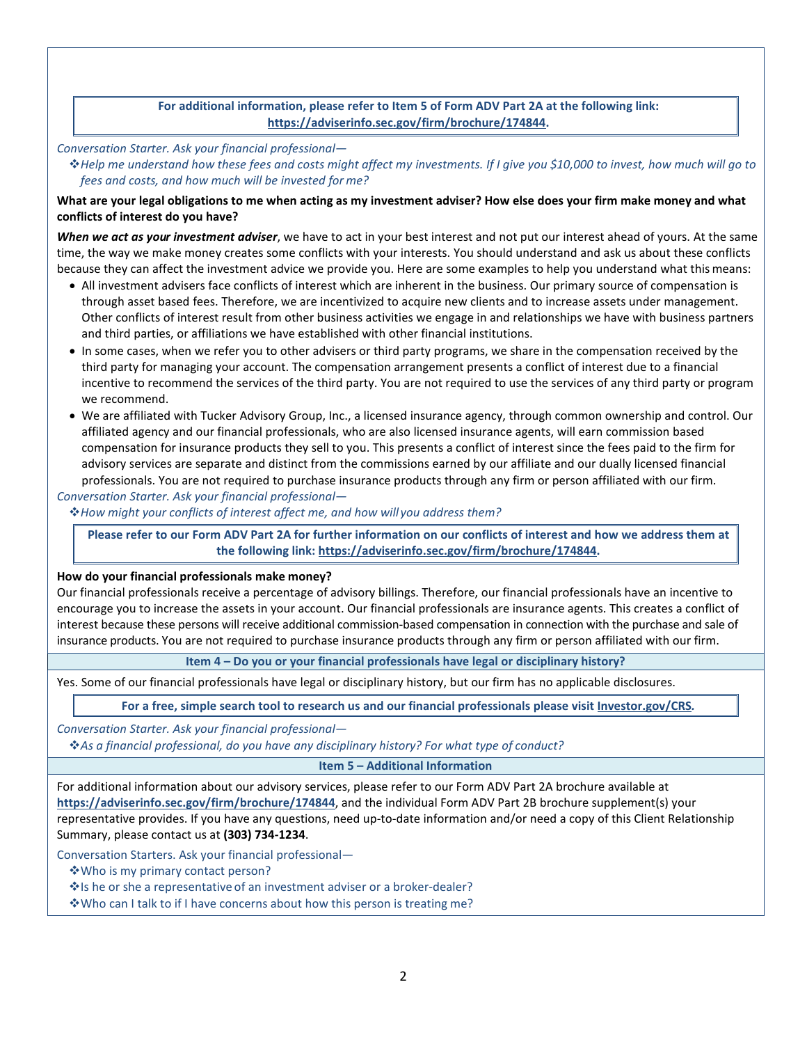**For additional information, please refer to Item 5 of Form ADV Part 2A at the following link: <https://adviserinfo.sec.gov/firm/brochure/174844>.** 

*Conversation Starter. Ask your financial professional—* 

*Help me understand how these fees and costs might affect my investments. If I give you \$10,000 to invest, how much will go to fees and costs, and how much will be invested for me?* 

## **What are your legal obligations to me when acting as my investment adviser? How else does your firm make money and what conflicts of interest do you have?**

*When we act as your investment adviser*, we have to act in your best interest and not put our interest ahead of yours. At the same time, the way we make money creates some conflicts with your interests. You should understand and ask us about these conflicts because they can affect the investment advice we provide you. Here are some examples to help you understand what this means:

- All investment advisers face conflicts of interest which are inherent in the business. Our primary source of compensation is through asset based fees. Therefore, we are incentivized to acquire new clients and to increase assets under management. Other conflicts of interest result from other business activities we engage in and relationships we have with business partners and third parties, or affiliations we have established with other financial institutions.
- In some cases, when we refer you to other advisers or third party programs, we share in the compensation received by the third party for managing your account. The compensation arrangement presents a conflict of interest due to a financial incentive to recommend the services of the third party. You are not required to use the services of any third party or program we recommend.
- We are affiliated with Tucker Advisory Group, Inc., a licensed insurance agency, through common ownership and control. Our affiliated agency and our financial professionals, who are also licensed insurance agents, will earn commission based compensation for insurance products they sell to you. This presents a conflict of interest since the fees paid to the firm for advisory services are separate and distinct from the commissions earned by our affiliate and our dually licensed financial professionals. You are not required to purchase insurance products through any firm or person affiliated with our firm.

*Conversation Starter. Ask your financial professional—* 

*How might your conflicts of interest affect me, and how will you address them?* 

**Please refer to our Form ADV Part 2A for further information on our conflicts of interest and how we address them at the following link: [https://adviserinfo.sec.gov/firm/brochure/174844.](https://adviserinfo.sec.gov/firm/brochure/174844)** 

#### **How do your financial professionals make money?**

Our financial professionals receive a percentage of advisory billings. Therefore, our financial professionals have an incentive to encourage you to increase the assets in your account. Our financial professionals are insurance agents. This creates a conflict of interest because these persons will receive additional commission-based compensation in connection with the purchase and sale of insurance products. You are not required to purchase insurance products through any firm or person affiliated with our firm.

## **Item 4 – Do you or your financial professionals have legal or disciplinary history?**

Yes. Some of our financial professionals have legal or disciplinary history, but our firm has no applicable disclosures.

**For a free, simple search tool to research us and our financial professionals please visit [Investor.gov/CRS](https://www.investor.gov/CRS)***.*

*Conversation Starter. Ask your financial professional—* 

*As a financial professional, do you have any disciplinary history? For what type of conduct?*

**Item 5 – Additional Information** 

For additional information about our advisory services, please refer to our Form ADV Part 2A brochure available at **<https://adviserinfo.sec.gov/firm/brochure/174844>**, and the individual Form ADV Part 2B brochure supplement(s) your representative provides. If you have any questions, need up-to-date information and/or need a copy of this Client Relationship Summary, please contact us at **(303) 734-1234**.

Conversation Starters. Ask your financial professional—

Who is my primary contact person?

\* Is he or she a representative of an investment adviser or a broker-dealer?

**\*** Who can I talk to if I have concerns about how this person is treating me?